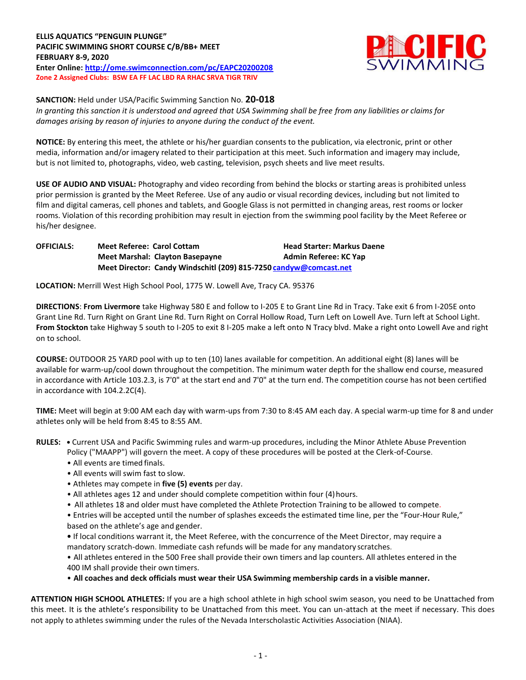

**SANCTION:** Held under USA/Pacific Swimming Sanction No. **20-018** *In granting this sanction it is understood and agreed that USA Swimming shall be free from any liabilities or claims for damages arising by reason of injuries to anyone during the conduct of the event.*

**NOTICE:** By entering this meet, the athlete or his/her guardian consents to the publication, via electronic, print or other media, information and/or imagery related to their participation at this meet. Such information and imagery may include, but is not limited to, photographs, video, web casting, television, psych sheets and live meet results.

**USE OF AUDIO AND VISUAL:** Photography and video recording from behind the blocks or starting areas is prohibited unless prior permission is granted by the Meet Referee. Use of any audio or visual recording devices, including but not limited to film and digital cameras, cell phones and tablets, and Google Glass is not permitted in changing areas, rest rooms or locker rooms. Violation of this recording prohibition may result in ejection from the swimming pool facility by the Meet Referee or his/her designee.

**OFFICIALS: Meet Referee: Carol Cottam Head Starter: Markus Daene Meet Marshal: Clayton Basepayne Admin Referee: KC Yap Meet Director: Candy Windschitl (209) 815-7250 [candyw@comcast.net](mailto:candyw@comcast.net)**

**LOCATION:** Merrill West High School Pool, 1775 W. Lowell Ave, Tracy CA. 95376

**DIRECTIONS**: **From Livermore** take Highway 580 E and follow to I-205 E to Grant Line Rd in Tracy. Take exit 6 from I-205E onto Grant Line Rd. Turn Right on Grant Line Rd. Turn Right on Corral Hollow Road, Turn Left on Lowell Ave. Turn left at School Light. **From Stockton** take Highway 5 south to I-205 to exit 8 I-205 make a left onto N Tracy blvd. Make a right onto Lowell Ave and right on to school.

**COURSE:** OUTDOOR 25 YARD pool with up to ten (10) lanes available for competition. An additional eight (8) lanes will be available for warm-up/cool down throughout the competition. The minimum water depth for the shallow end course, measured in accordance with Article 103.2.3, is 7'0" at the start end and 7'0" at the turn end. The competition course has not been certified in accordance with 104.2.2C(4).

**TIME:** Meet will begin at 9:00 AM each day with warm-ups from 7:30 to 8:45 AM each day. A special warm-up time for 8 and under athletes only will be held from 8:45 to 8:55 AM.

- **RULES:** Current USA and Pacific Swimming rules and warm-up procedures, including the Minor Athlete Abuse Prevention Policy ("MAAPP") will govern the meet. A copy of these procedures will be posted at the Clerk-of-Course.
	- All events are timed finals.
	- All events will swim fast to slow.
	- Athletes may compete in **five (5) events** per day.
	- All athletes ages 12 and under should complete competition within four (4)hours.
	- All athletes 18 and older must have completed the Athlete Protection Training to be allowed to compete.
	- Entries will be accepted until the number of splashes exceeds the estimated time line, per the "Four-Hour Rule," based on the athlete's age and gender.
	- **•** If local conditions warrant it, the Meet Referee, with the concurrence of the Meet Director, may require a mandatory scratch-down. Immediate cash refunds will be made for any mandatory scratches.
	- All athletes entered in the 500 Free shall provide their own timers and lap counters. All athletes entered in the 400 IM shall provide their own timers.

• **All coaches and deck officials must wear their USA Swimming membership cards in a visible manner.**

**ATTENTION HIGH SCHOOL ATHLETES:** If you are a high school athlete in high school swim season, you need to be Unattached from this meet. It is the athlete's responsibility to be Unattached from this meet. You can un-attach at the meet if necessary. This does not apply to athletes swimming under the rules of the Nevada Interscholastic Activities Association (NIAA).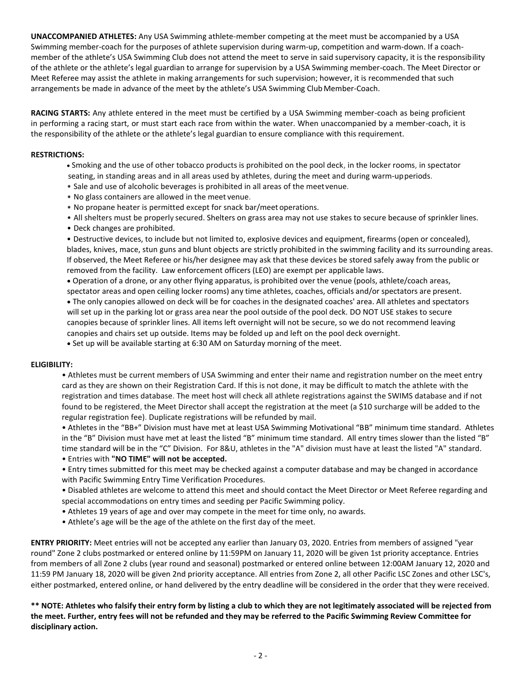**UNACCOMPANIED ATHLETES:** Any USA Swimming athlete-member competing at the meet must be accompanied by a USA Swimming member-coach for the purposes of athlete supervision during warm-up, competition and warm-down. If a coachmember of the athlete's USA Swimming Club does not attend the meet to serve in said supervisory capacity, it is the responsibility of the athlete or the athlete's legal guardian to arrange for supervision by a USA Swimming member-coach. The Meet Director or Meet Referee may assist the athlete in making arrangements for such supervision; however, it is recommended that such arrangements be made in advance of the meet by the athlete's USA Swimming Club Member-Coach.

**RACING STARTS:** Any athlete entered in the meet must be certified by a USA Swimming member-coach as being proficient in performing a racing start, or must start each race from within the water. When unaccompanied by a member-coach, it is the responsibility of the athlete or the athlete's legal guardian to ensure compliance with this requirement.

## **RESTRICTIONS:**

- Smoking and the use of other tobacco products is prohibited on the pool deck, in the locker rooms, in spectator seating, in standing areas and in all areas used by athletes, during the meet and during warm-upperiods.
- Sale and use of alcoholic beverages is prohibited in all areas of the meetvenue.
- No glass containers are allowed in the meet venue.
- No propane heater is permitted except for snack bar/meet operations.
- All shelters must be properly secured. Shelters on grass area may not use stakes to secure because of sprinkler lines.
- Deck changes are prohibited.

• Destructive devices, to include but not limited to, explosive devices and equipment, firearms (open or concealed), blades, knives, mace, stun guns and blunt objects are strictly prohibited in the swimming facility and its surrounding areas. If observed, the Meet Referee or his/her designee may ask that these devices be stored safely away from the public or removed from the facility. Law enforcement officers (LEO) are exempt per applicable laws.

 Operation of a drone, or any other flying apparatus, is prohibited over the venue (pools, athlete/coach areas, spectator areas and open ceiling locker rooms) any time athletes, coaches, officials and/or spectators are present.

 The only canopies allowed on deck will be for coaches in the designated coaches' area. All athletes and spectators will set up in the parking lot or grass area near the pool outside of the pool deck. DO NOT USE stakes to secure canopies because of sprinkler lines. All items left overnight will not be secure, so we do not recommend leaving canopies and chairs set up outside. Items may be folded up and left on the pool deck overnight.

Set up will be available starting at 6:30 AM on Saturday morning of the meet.

## **ELIGIBILITY:**

• Athletes must be current members of USA Swimming and enter their name and registration number on the meet entry card as they are shown on their Registration Card. If this is not done, it may be difficult to match the athlete with the registration and times database. The meet host will check all athlete registrations against the SWIMS database and if not found to be registered, the Meet Director shall accept the registration at the meet (a \$10 surcharge will be added to the regular registration fee). Duplicate registrations will be refunded by mail.

• Athletes in the "BB+" Division must have met at least USA Swimming Motivational "BB" minimum time standard. Athletes in the "B" Division must have met at least the listed "B" minimum time standard. All entry times slower than the listed "B" time standard will be in the "C" Division. For 8&U, athletes in the "A" division must have at least the listed "A" standard.

• Entries with **"NO TIME" will not be accepted.**

• Entry times submitted for this meet may be checked against a computer database and may be changed in accordance with Pacific Swimming Entry Time Verification Procedures.

• Disabled athletes are welcome to attend this meet and should contact the Meet Director or Meet Referee regarding and special accommodations on entry times and seeding per Pacific Swimming policy.

- Athletes 19 years of age and over may compete in the meet for time only, no awards.
- Athlete's age will be the age of the athlete on the first day of the meet.

**ENTRY PRIORITY:** Meet entries will not be accepted any earlier than January 03, 2020. Entries from members of assigned "year round" Zone 2 clubs postmarked or entered online by 11:59PM on January 11, 2020 will be given 1st priority acceptance. Entries from members of all Zone 2 clubs (year round and seasonal) postmarked or entered online between 12:00AM January 12, 2020 and 11:59 PM January 18, 2020 will be given 2nd priority acceptance. All entries from Zone 2, all other Pacific LSC Zones and other LSC's, either postmarked, entered online, or hand delivered by the entry deadline will be considered in the order that they were received.

**\*\* NOTE: Athletes who falsify their entry form by listing a club to which they are not legitimately associated will be rejected from the meet. Further, entry fees will not be refunded and they may be referred to the Pacific Swimming Review Committee for disciplinary action.**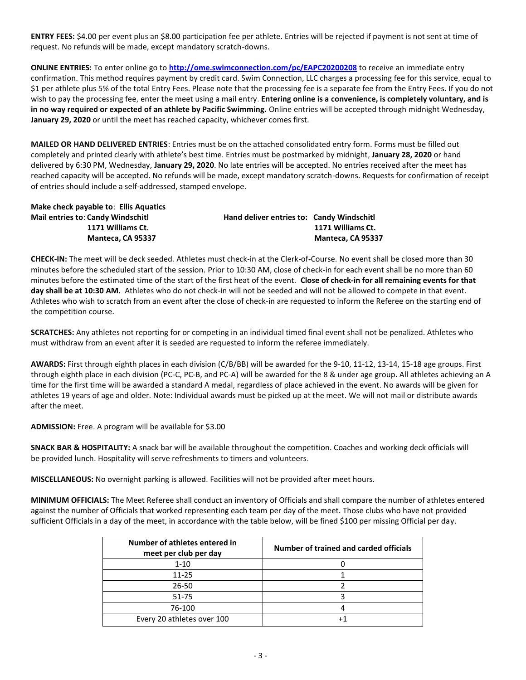**ENTRY FEES:** \$4.00 per event plus an \$8.00 participation fee per athlete. Entries will be rejected if payment is not sent at time of request. No refunds will be made, except mandatory scratch-downs.

**ONLINE ENTRIES:** To enter online go to **<http://ome.swimconnection.com/pc/EAPC20200208>** to receive an immediate entry confirmation. This method requires payment by credit card. Swim Connection, LLC charges a processing fee for this service, equal to \$1 per athlete plus 5% of the total Entry Fees. Please note that the processing fee is a separate fee from the Entry Fees. If you do not wish to pay the processing fee, enter the meet using a mail entry. **Entering online is a convenience, is completely voluntary, and is in no way required or expected of an athlete by Pacific Swimming.** Online entries will be accepted through midnight Wednesday, **January 29, 2020** or until the meet has reached capacity, whichever comes first.

**MAILED OR HAND DELIVERED ENTRIES**: Entries must be on the attached consolidated entry form. Forms must be filled out completely and printed clearly with athlete's best time. Entries must be postmarked by midnight, **January 28, 2020** or hand delivered by 6:30 PM, Wednesday, **January 29, 2020**. No late entries will be accepted. No entries received after the meet has reached capacity will be accepted. No refunds will be made, except mandatory scratch-downs. Requests for confirmation of receipt of entries should include a self-addressed, stamped envelope.

**Make check payable to**: **Ellis Aquatics Mail entries to**: **Candy Windschitl Hand deliver entries to: Candy Windschitl**

 **1171 Williams Ct. 1171 Williams Ct. Manteca, CA 95337 Manteca, CA 95337**

**CHECK-IN:** The meet will be deck seeded. Athletes must check-in at the Clerk-of-Course. No event shall be closed more than 30 minutes before the scheduled start of the session. Prior to 10:30 AM, close of check-in for each event shall be no more than 60 minutes before the estimated time of the start of the first heat of the event. **Close of check-in for all remaining events for that day shall be at 10:30 AM.** Athletes who do not check-in will not be seeded and will not be allowed to compete in that event. Athletes who wish to scratch from an event after the close of check-in are requested to inform the Referee on the starting end of the competition course.

**SCRATCHES:** Any athletes not reporting for or competing in an individual timed final event shall not be penalized. Athletes who must withdraw from an event after it is seeded are requested to inform the referee immediately.

**AWARDS:** First through eighth places in each division (C/B/BB) will be awarded for the 9-10, 11-12, 13-14, 15-18 age groups. First through eighth place in each division (PC-C, PC-B, and PC-A) will be awarded for the 8 & under age group. All athletes achieving an A time for the first time will be awarded a standard A medal, regardless of place achieved in the event. No awards will be given for athletes 19 years of age and older. Note: Individual awards must be picked up at the meet. We will not mail or distribute awards after the meet.

**ADMISSION:** Free. A program will be available for \$3.00

**SNACK BAR & HOSPITALITY:** A snack bar will be available throughout the competition. Coaches and working deck officials will be provided lunch. Hospitality will serve refreshments to timers and volunteers.

**MISCELLANEOUS:** No overnight parking is allowed. Facilities will not be provided after meet hours.

**MINIMUM OFFICIALS:** The Meet Referee shall conduct an inventory of Officials and shall compare the number of athletes entered against the number of Officials that worked representing each team per day of the meet. Those clubs who have not provided sufficient Officials in a day of the meet, in accordance with the table below, will be fined \$100 per missing Official per day.

| Number of athletes entered in<br>meet per club per day | Number of trained and carded officials |
|--------------------------------------------------------|----------------------------------------|
| $1 - 10$                                               |                                        |
| 11-25                                                  |                                        |
| $26 - 50$                                              |                                        |
| $51 - 75$                                              |                                        |
| 76-100                                                 |                                        |
| Every 20 athletes over 100                             |                                        |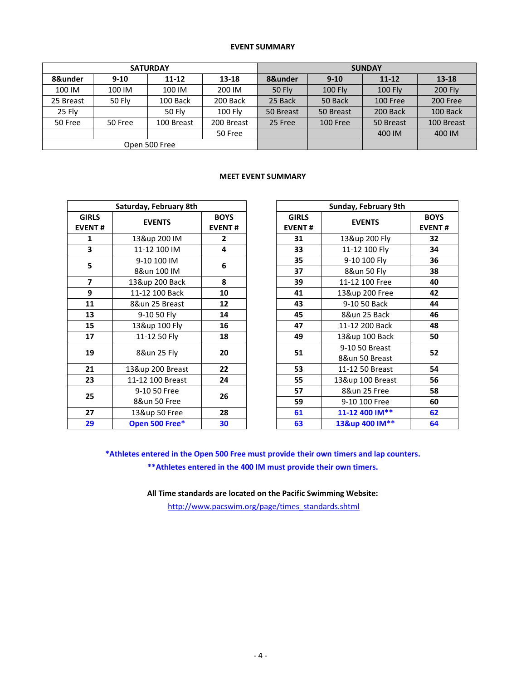## **EVENT SUMMARY**

|           |         | <b>SATURDAY</b> |                | <b>SUNDAY</b> |           |           |                |  |  |
|-----------|---------|-----------------|----------------|---------------|-----------|-----------|----------------|--|--|
| 8&under   | $9-10$  | $11 - 12$       | $13 - 18$      | 8&under       | $9 - 10$  | $11 - 12$ | $13 - 18$      |  |  |
| 100 IM    | 100 IM  | 100 IM          | 200 IM         | 50 Fly        | $100$ Fly | $100$ Fly | <b>200 Fly</b> |  |  |
| 25 Breast | 50 Fly  | 100 Back        | 200 Back       | 25 Back       | 50 Back   | 100 Free  | 200 Free       |  |  |
| 25 Fly    |         | <b>50 Fly</b>   | <b>100 Fly</b> | 50 Breast     | 50 Breast | 200 Back  | 100 Back       |  |  |
| 50 Free   | 50 Free | 100 Breast      | 200 Breast     | 25 Free       | 100 Free  | 50 Breast | 100 Breast     |  |  |
|           |         |                 | 50 Free        |               |           | 400 IM    | 400 IM         |  |  |
|           |         | Open 500 Free   |                |               |           |           |                |  |  |

## **MEET EVENT SUMMARY**

 $\overline{\phantom{0}}$ 

|                               | Saturday, February 8th |                              | Sunday, February              |                                 |
|-------------------------------|------------------------|------------------------------|-------------------------------|---------------------------------|
| <b>GIRLS</b><br><b>EVENT#</b> | <b>EVENTS</b>          | <b>BOYS</b><br><b>EVENT#</b> | <b>GIRLS</b><br><b>EVENT#</b> | <b>EVENTS</b>                   |
| 1                             | 13&up 200 IM           | $\mathbf{2}$                 | 31                            | 13&up 200 Fly                   |
| 3                             | 11-12 100 IM           | 4                            | 33                            | 11-12 100 Fly                   |
| 5                             | 9-10 100 IM            |                              | 35                            | 9-10 100 Fly                    |
|                               | 8&un 100 IM            | 6                            | 37                            | 8&un 50 Fly                     |
| $\overline{7}$                | 13&up 200 Back         | 8                            | 39                            | 11-12 100 Free                  |
| 9                             | 11-12 100 Back         | 10                           | 41                            | 13&up 200 Fre                   |
| 11                            | 8&un 25 Breast         | 12                           | 43                            | 9-10 50 Back                    |
| 13                            | 9-10 50 Fly            | 14                           | 45                            | 8&un 25 Back                    |
| 15                            | 13&up 100 Fly          | 16                           | 47                            | 11-12 200 Back                  |
| 17                            | 11-12 50 Fly           | 18                           | 49                            | 13&up 100 Bac                   |
| 19                            | 8&un 25 Fly            | 20                           | 51                            | 9-10 50 Breast<br>8&un 50 Breas |
| 21                            | 13&up 200 Breast       | 22                           | 53                            | 11-12 50 Breas                  |
| 23                            | 11-12 100 Breast       | 24                           | 55                            | 13&up 100 Brea                  |
|                               | 9-10 50 Free           |                              | 57                            | 8&un 25 Free                    |
| 25                            | 8&un 50 Free           | 26                           | 59                            | 9-10 100 Free                   |
| 27                            | 13&up 50 Free          | 28                           | 61                            | 11-12 400 IM*                   |
| 29                            | Open 500 Free*         | 30                           | 63                            | 13&up 400 IM*                   |

|                         | Saturday, February 8th |                              | Sunday, February 9th                   |                  |                              |  |
|-------------------------|------------------------|------------------------------|----------------------------------------|------------------|------------------------------|--|
| <b>IRLS</b><br>ENT#     | <b>EVENTS</b>          | <b>BOYS</b><br><b>EVENT#</b> | <b>GIRLS</b><br><b>EVENT#</b>          | <b>EVENTS</b>    | <b>BOYS</b><br><b>EVENT#</b> |  |
| $\mathbf 1$             | 13&up 200 IM           | $\overline{2}$               | 31                                     | 13&up 200 Fly    | 32                           |  |
| $\overline{\mathbf{3}}$ | 11-12 100 IM           | 4                            | 33                                     | 11-12 100 Fly    | 34                           |  |
| 5                       | 9-10 100 IM            |                              | 35                                     | 9-10 100 Fly     | 36                           |  |
|                         | 8&un 100 IM            | 6                            | 37                                     | 8&un 50 Fly      | 38                           |  |
| $\overline{\mathbf{z}}$ | 13&up 200 Back         | 8                            | 39                                     | 11-12 100 Free   | 40                           |  |
| $\overline{9}$          | 11-12 100 Back         | 10                           | 41                                     | 13&up 200 Free   | 42                           |  |
| 11                      | 8&un 25 Breast         | 12                           | 43                                     | 9-10 50 Back     | 44                           |  |
| 13                      | 9-10 50 Fly            | 14                           | 45                                     | 8&un 25 Back     | 46                           |  |
| 15                      | 13&up 100 Fly          | 16                           | 47                                     | 11-12 200 Back   | 48                           |  |
| 17                      | 11-12 50 Fly           | 18                           | 49                                     | 13&up 100 Back   | 50                           |  |
| 19                      | 8&un 25 Fly            | 20                           | 9-10 50 Breast<br>51<br>8&un 50 Breast |                  | 52                           |  |
| 21                      | 13&up 200 Breast       | 22                           | 53                                     | 11-12 50 Breast  | 54                           |  |
| 23                      | 11-12 100 Breast       | 24                           | 55                                     | 13&up 100 Breast | 56                           |  |
| 25                      | 9-10 50 Free           | 26                           | 57                                     | 8&un 25 Free     | 58                           |  |
|                         | 8&un 50 Free           |                              | 59                                     | 9-10 100 Free    | 60                           |  |
| 27                      | 13&up 50 Free          | 28                           | 61                                     | 11-12 400 IM**   | 62                           |  |
| 29                      | Open 500 Free*         | 30                           | 63                                     | 13&up 400 IM**   | 64                           |  |

**\*Athletes entered in the Open 500 Free must provide their own timers and lap counters. \*\*Athletes entered in the 400 IM must provide their own timers.**

**All Time standards are located on the Pacific Swimming Website:**

[http://www.pacswim.org/page/times\\_standards.shtml](http://www.pacswim.org/page/times_standards.shtml)